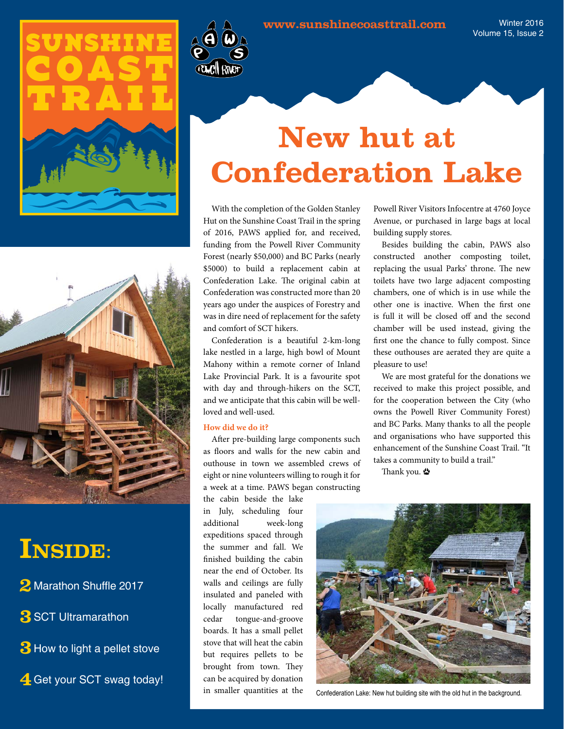



### **Inside**:

2 Marathon Shuffle 2017

**3** SCT Ultramarathon

**3** How to light a pellet stove

**4** Get your SCT swag today!



Winter 2016 Volume 15, Issue 2

## **New hut at Confederation Lake**

With the completion of the Golden Stanley Hut on the Sunshine Coast Trail in the spring of 2016, PAWS applied for, and received, funding from the Powell River Community Forest (nearly \$50,000) and BC Parks (nearly \$5000) to build a replacement cabin at Confederation Lake. The original cabin at Confederation was constructed more than 20 years ago under the auspices of Forestry and was in dire need of replacement for the safety and comfort of SCT hikers.

Confederation is a beautiful 2-km-long lake nestled in a large, high bowl of Mount Mahony within a remote corner of Inland Lake Provincial Park. It is a favourite spot with day and through-hikers on the SCT, and we anticipate that this cabin will be wellloved and well-used.

#### **How did we do it?**

After pre-building large components such as floors and walls for the new cabin and outhouse in town we assembled crews of eight or nine volunteers willing to rough it for a week at a time. PAWS began constructing

the cabin beside the lake in July, scheduling four additional week-long expeditions spaced through the summer and fall. We finished building the cabin near the end of October. Its walls and ceilings are fully insulated and paneled with locally manufactured red cedar tongue-and-groove boards. It has a small pellet stove that will heat the cabin but requires pellets to be brought from town. They can be acquired by donation in smaller quantities at the

Powell River Visitors Infocentre at 4760 Joyce Avenue, or purchased in large bags at local building supply stores.

Besides building the cabin, PAWS also constructed another composting toilet, replacing the usual Parks' throne. The new toilets have two large adjacent composting chambers, one of which is in use while the other one is inactive. When the first one is full it will be closed off and the second chamber will be used instead, giving the first one the chance to fully compost. Since these outhouses are aerated they are quite a pleasure to use!

We are most grateful for the donations we received to make this project possible, and for the cooperation between the City (who owns the Powell River Community Forest) and BC Parks. Many thanks to all the people and organisations who have supported this enhancement of the Sunshine Coast Trail. "It takes a community to build a trail."

Thank you. 些



Confederation Lake: New hut building site with the old hut in the background.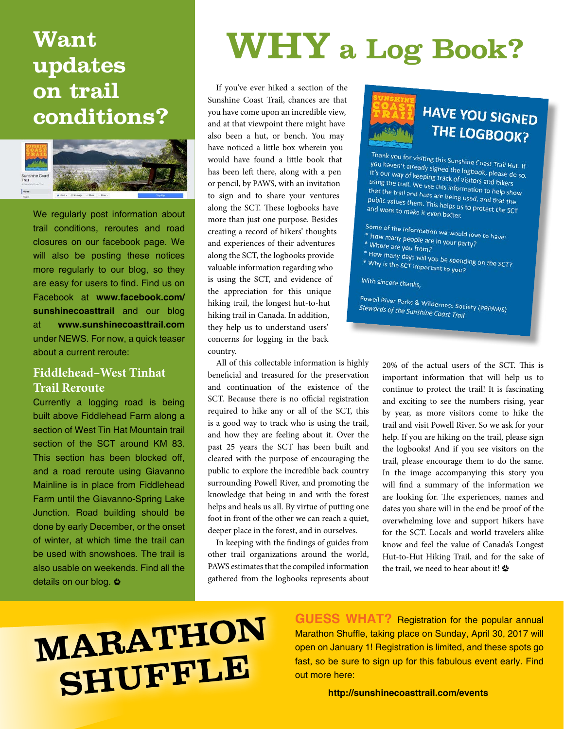### **Want updates on trail conditions?**



We regularly post information about trail conditions, reroutes and road closures on our facebook page. We will also be posting these notices more regularly to our blog, so they are easy for users to find. Find us on Facebook at **[www.facebook.com/](www.facebook.com/sunshinecoasttrail) [sunshinecoasttrail](www.facebook.com/sunshinecoasttrail)** and our blog at **www.sunshinecoasttrail.com** under NEWS. For now, a quick teaser about a current reroute:

#### **Fiddlehead–West Tinhat Trail Reroute**

Currently a logging road is being built above Fiddlehead Farm along a section of West Tin Hat Mountain trail section of the SCT around KM 83. This section has been blocked off. and a road reroute using Giavanno Mainline is in place from Fiddlehead Farm until the Giavanno-Spring Lake Junction. Road building should be done by early December, or the onset of winter, at which time the trail can be used with snowshoes. The trail is also usable on weekends. Find all the details on our blog. <

## **WHY** a Log Book?

If you've ever hiked a section of the Sunshine Coast Trail, chances are that you have come upon an incredible view, and at that viewpoint there might have also been a hut, or bench. You may have noticed a little box wherein you would have found a little book that has been left there, along with a pen or pencil, by PAWS, with an invitation to sign and to share your ventures along the SCT. These logbooks have more than just one purpose. Besides creating a record of hikers' thoughts and experiences of their adventures along the SCT, the logbooks provide valuable information regarding who is using the SCT, and evidence of the appreciation for this unique hiking trail, the longest hut-to-hut hiking trail in Canada. In addition, they help us to understand users' concerns for logging in the back country.

All of this collectable information is highly beneficial and treasured for the preservation and continuation of the existence of the SCT. Because there is no official registration required to hike any or all of the SCT, this is a good way to track who is using the trail, and how they are feeling about it. Over the past 25 years the SCT has been built and cleared with the purpose of encouraging the public to explore the incredible back country surrounding Powell River, and promoting the knowledge that being in and with the forest helps and heals us all. By virtue of putting one foot in front of the other we can reach a quiet, deeper place in the forest, and in ourselves.

In keeping with the findings of guides from other trail organizations around the world, PAWS estimates that the compiled information gathered from the logbooks represents about



### **HAVE YOU SIGNED** THE LOGBOOK?

Thank you for visiting this Sunshine Coast Trail Hut. If<br>You haven't already signed the logbook....! Thank you for visiting this Sunshine Coast Trail Hut. If<br>It's our way of keeping track of visitors and kill do so.<br>It's our way of keeping track of visitors and kill It's our way of keeping track of visitors, please do<br>It's our way of keeping track of visitors and hikers<br>using the trail. We use this information Using the trail. We use this information to help show<br>that the trail and huts are being used that the trail and huts are being used, and that the trail and huts are being used, and that the<br>public values them. This helps us to produce them. public values them. This helps used, and that the<br>public values them. This helps us to protect the SCT<br>and work to make it even better and work to make it even better.

- Some of the information we would love to have:<br>\* How many people are in your part and been \* How many people are in your party?<br>\* How many people are in your party?
- \* Where are you from?
- 
- \* How many days will you be spending on the SCT?<br>\* How many days will you be spending on the SCT?<br>\* Why is the SCT important to you? \* Why is the SCT important to you?

With sincere thanks,

Powell River Parks & Wilderness Society (PRPAWS) Stewards of the Sunshine Coast Trail

> 20% of the actual users of the SCT. This is important information that will help us to continue to protect the trail! It is fascinating and exciting to see the numbers rising, year by year, as more visitors come to hike the trail and visit Powell River. So we ask for your help. If you are hiking on the trail, please sign the logbooks! And if you see visitors on the trail, please encourage them to do the same. In the image accompanying this story you will find a summary of the information we are looking for. The experiences, names and dates you share will in the end be proof of the overwhelming love and support hikers have for the SCT. Locals and world travelers alike know and feel the value of Canada's Longest Hut-to-Hut Hiking Trail, and for the sake of the trail, we need to hear about it!

# MARATHON SHUFFLE

**GUESS WHAT?** Registration for the popular annual Marathon Shuffle, taking place on Sunday, April 30, 2017 will open on January 1! Registration is limited, and these spots go fast, so be sure to sign up for this fabulous event early. Find out more here:

**http://sunshinecoasttrail.com/events**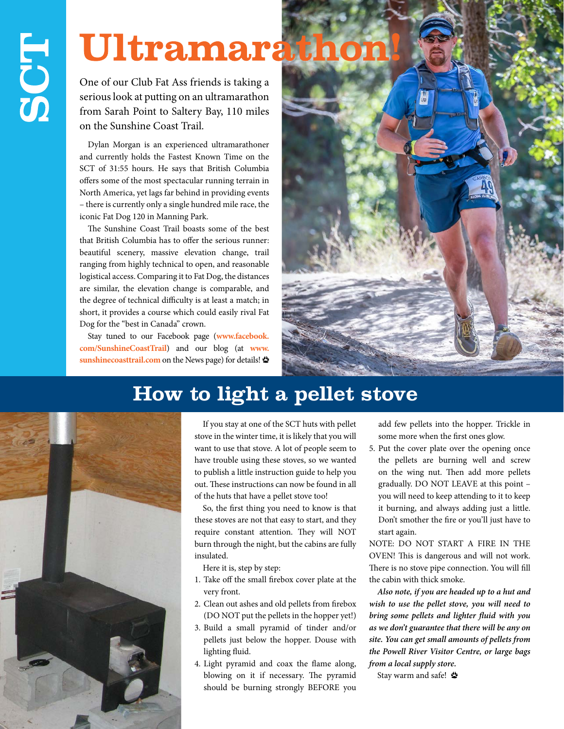## Ultramarathor

One of our Club Fat Ass friends is taking a serious look at putting on an ultramarathon from Sarah Point to Saltery Bay, 110 miles on the Sunshine Coast Trail.

Dylan Morgan is an experienced ultramarathoner and currently holds the Fastest Known Time on the SCT of 31:55 hours. He says that British Columbia offers some of the most spectacular running terrain in North America, yet lags far behind in providing events – there is currently only a single hundred mile race, the iconic Fat Dog 120 in Manning Park.

The Sunshine Coast Trail boasts some of the best that British Columbia has to offer the serious runner: beautiful scenery, massive elevation change, trail ranging from highly technical to open, and reasonable logistical access. Comparing it to Fat Dog, the distances are similar, the elevation change is comparable, and the degree of technical difficulty is at least a match; in short, it provides a course which could easily rival Fat Dog for the "best in Canada" crown.

Stay tuned to our Facebook page (**[www.facebook.](www.facebook.com/SunshineCoastTrail) [com/SunshineCoastTrail](www.facebook.com/SunshineCoastTrail)**) and our blog (at **www. sunshinecoasttrail.com** on the News page) for details!



### **How to light a pellet stove**



If you stay at one of the SCT huts with pellet stove in the winter time, it is likely that you will want to use that stove. A lot of people seem to have trouble using these stoves, so we wanted to publish a little instruction guide to help you out. These instructions can now be found in all of the huts that have a pellet stove too!

So, the first thing you need to know is that these stoves are not that easy to start, and they require constant attention. They will NOT burn through the night, but the cabins are fully insulated.

Here it is, step by step:

- 1. Take off the small firebox cover plate at the very front.
- 2. Clean out ashes and old pellets from firebox (DO NOT put the pellets in the hopper yet!)
- 3. Build a small pyramid of tinder and/or pellets just below the hopper. Douse with lighting fluid.
- 4. Light pyramid and coax the flame along, blowing on it if necessary. The pyramid should be burning strongly BEFORE you

add few pellets into the hopper. Trickle in some more when the first ones glow.

5. Put the cover plate over the opening once the pellets are burning well and screw on the wing nut. Then add more pellets gradually. DO NOT LEAVE at this point – you will need to keep attending to it to keep it burning, and always adding just a little. Don't smother the fire or you'll just have to start again.

NOTE: DO NOT START A FIRE IN THE OVEN! This is dangerous and will not work. There is no stove pipe connection. You will fill the cabin with thick smoke.

*Also note, if you are headed up to a hut and wish to use the pellet stove, you will need to bring some pellets and lighter fluid with you as we don't guarantee that there will be any on site. You can get small amounts of pellets from the Powell River Visitor Centre, or large bags from a local supply store.*

Stay warm and safe! <